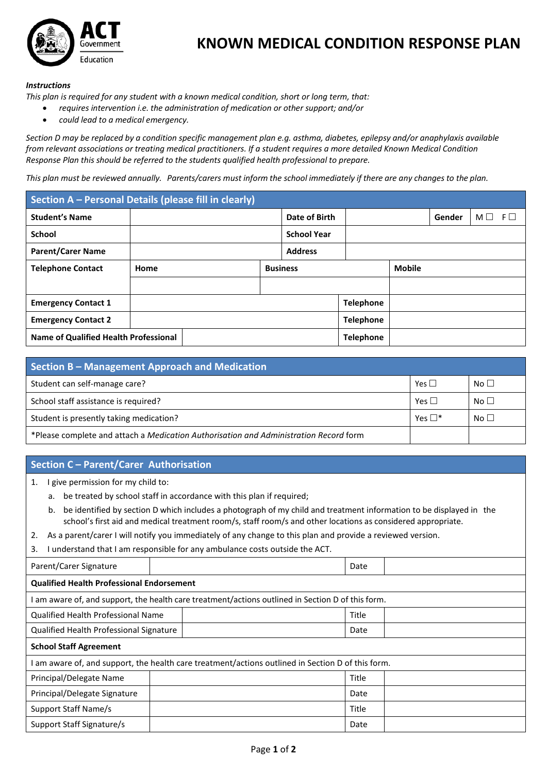

## **KNOWN MEDICAL CONDITION RESPONSE PLAN**

## *Instructions*

*This plan is required for any student with a known medical condition, short or long term, that:*

- *requires intervention i.e. the administration of medication or other support; and/or*
- *could lead to a medical emergency.*

*Section D may be replaced by a condition specific management plan e.g. asthma, diabetes, epilepsy and/or anaphylaxis available from relevant associations or treating medical practitioners. If a student requires a more detailed Known Medical Condition Response Plan this should be referred to the students qualified health professional to prepare.*

*This plan must be reviewed annually. Parents/carers must inform the school immediately if there are any changesto the plan.*

| Section A - Personal Details (please fill in clearly) |      |  |                 |                    |               |  |        |          |          |
|-------------------------------------------------------|------|--|-----------------|--------------------|---------------|--|--------|----------|----------|
| <b>Student's Name</b>                                 |      |  |                 | Date of Birth      |               |  | Gender | $M \Box$ | $F \Box$ |
| <b>School</b>                                         |      |  |                 | <b>School Year</b> |               |  |        |          |          |
| <b>Parent/Carer Name</b>                              |      |  |                 | <b>Address</b>     |               |  |        |          |          |
| <b>Telephone Contact</b>                              | Home |  | <b>Business</b> |                    | <b>Mobile</b> |  |        |          |          |
|                                                       |      |  |                 |                    |               |  |        |          |          |
| <b>Emergency Contact 1</b>                            |      |  |                 | <b>Telephone</b>   |               |  |        |          |          |
| <b>Emergency Contact 2</b>                            |      |  |                 | <b>Telephone</b>   |               |  |        |          |          |
| <b>Name of Qualified Health Professional</b>          |      |  |                 | <b>Telephone</b>   |               |  |        |          |          |

| Section B – Management Approach and Medication                                        |                 |                 |  |  |  |  |
|---------------------------------------------------------------------------------------|-----------------|-----------------|--|--|--|--|
| Student can self-manage care?                                                         | Yes $\Box$      | No <sub>1</sub> |  |  |  |  |
| School staff assistance is required?                                                  | Yes $\Box$      | No $\Box$       |  |  |  |  |
| Student is presently taking medication?                                               | Yes $\square^*$ | No $\Box$       |  |  |  |  |
| *Please complete and attach a Medication Authorisation and Administration Record form |                 |                 |  |  |  |  |

## **Section C – Parent/Carer Authorisation**

1. I give permission for my child to:

- a. be treated by school staff in accordance with this plan if required;
- b. be identified by section D which includes a photograph of my child and treatment information to be displayed in the school's first aid and medical treatment room/s, staff room/s and other locations as considered appropriate.
- 2. As a parent/carer I will notify you immediately of any change to this plan and provide a reviewed version.
- 3. I understand that I am responsible for any ambulance costs outside the ACT.

| Parent/Carer Signature                                                                          |  |  | Date  |  |  |  |
|-------------------------------------------------------------------------------------------------|--|--|-------|--|--|--|
| <b>Qualified Health Professional Endorsement</b>                                                |  |  |       |  |  |  |
| am aware of, and support, the health care treatment/actions outlined in Section D of this form. |  |  |       |  |  |  |
| <b>Qualified Health Professional Name</b>                                                       |  |  | Title |  |  |  |
| Qualified Health Professional Signature                                                         |  |  | Date  |  |  |  |
| <b>School Staff Agreement</b>                                                                   |  |  |       |  |  |  |
| am aware of, and support, the health care treatment/actions outlined in Section D of this form. |  |  |       |  |  |  |
| Principal/Delegate Name                                                                         |  |  | Title |  |  |  |
| Principal/Delegate Signature                                                                    |  |  | Date  |  |  |  |
| Support Staff Name/s                                                                            |  |  | Title |  |  |  |
| Support Staff Signature/s                                                                       |  |  | Date  |  |  |  |